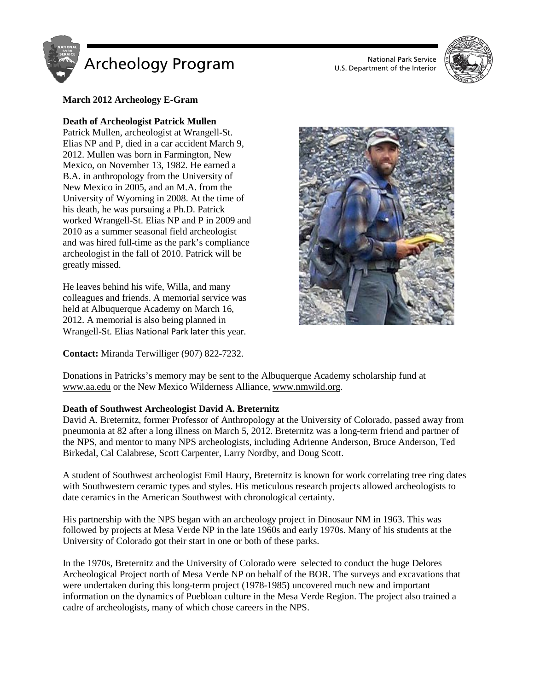

U.S. Department of the Interior



## **March 2012 Archeology E-Gram**

## **Death of Archeologist Patrick Mullen**

Patrick Mullen, archeologist at Wrangell-St. Elias NP and P, died in a car accident March 9, 2012. Mullen was born in Farmington, New Mexico, on November 13, 1982. He earned a B.A. in anthropology from the University of New Mexico in 2005, and an M.A. from the University of Wyoming in 2008. At the time of his death, he was pursuing a Ph.D. Patrick worked Wrangell-St. Elias NP and P in 2009 and 2010 as a summer seasonal field archeologist and was hired full-time as the park's compliance archeologist in the fall of 2010. Patrick will be greatly missed.

He leaves behind his wife, Willa, and many colleagues and friends. A memorial service was held at Albuquerque Academy on March 16, 2012. A memorial is also being planned in Wrangell-St. Elias National Park later this year.

**Contact:** Miranda Terwilliger (907) 822-7232.



Donations in Patricks's memory may be sent to the Albuquerque Academy scholarship fund at [www.aa.edu](http://www.aa.edu/) or the New Mexico Wilderness Alliance[, www.nmwild.org.](http://www.nmwild.org/)

## **Death of Southwest Archeologist David A. Breternitz**

David A. Breternitz, former Professor of Anthropology at the University of Colorado, passed away from pneumonia at 82 after a long illness on March 5, 2012. Breternitz was a long-term friend and partner of the NPS, and mentor to many NPS archeologists, including Adrienne Anderson, Bruce Anderson, Ted Birkedal, Cal Calabrese, Scott Carpenter, Larry Nordby, and Doug Scott.

A student of Southwest archeologist Emil Haury, Breternitz is known for work correlating tree ring dates with Southwestern ceramic types and styles. His meticulous research projects allowed archeologists to date ceramics in the American Southwest with chronological certainty.

His partnership with the NPS began with an archeology project in Dinosaur NM in 1963. This was followed by projects at Mesa Verde NP in the late 1960s and early 1970s. Many of his students at the University of Colorado got their start in one or both of these parks.

In the 1970s, Breternitz and the University of Colorado were selected to conduct the huge Delores Archeological Project north of Mesa Verde NP on behalf of the BOR. The surveys and excavations that were undertaken during this long-term project (1978-1985) uncovered much new and important information on the dynamics of Puebloan culture in the Mesa Verde Region. The project also trained a cadre of archeologists, many of which chose careers in the NPS.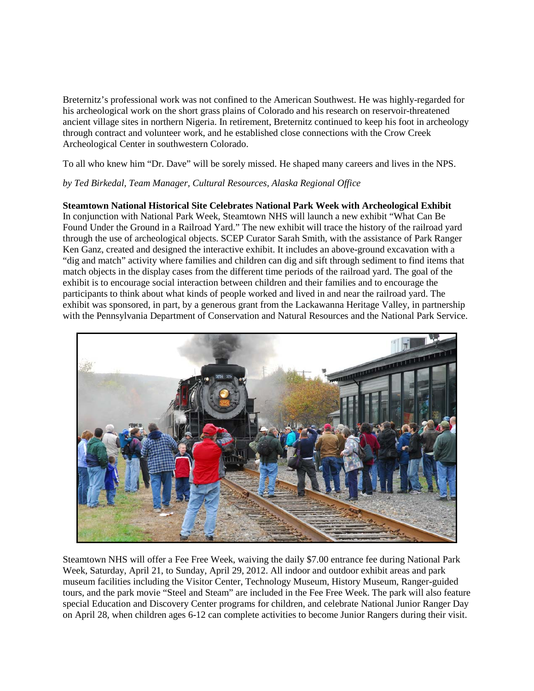Breternitz's professional work was not confined to the American Southwest. He was highly-regarded for his archeological work on the short grass plains of Colorado and his research on reservoir-threatened ancient village sites in northern Nigeria. In retirement, Breternitz continued to keep his foot in archeology through contract and volunteer work, and he established close connections with the Crow Creek Archeological Center in southwestern Colorado.

To all who knew him "Dr. Dave" will be sorely missed. He shaped many careers and lives in the NPS.

## *by Ted Birkedal, Team Manager, Cultural Resources, Alaska Regional Office*

# **Steamtown National Historical Site Celebrates National Park Week with Archeological Exhibit**

In conjunction with National Park Week, Steamtown NHS will launch a new exhibit "What Can Be Found Under the Ground in a Railroad Yard." The new exhibit will trace the history of the railroad yard through the use of archeological objects. SCEP Curator Sarah Smith, with the assistance of Park Ranger Ken Ganz, created and designed the interactive exhibit. It includes an above-ground excavation with a "dig and match" activity where families and children can dig and sift through sediment to find items that match objects in the display cases from the different time periods of the railroad yard. The goal of the exhibit is to encourage social interaction between children and their families and to encourage the participants to think about what kinds of people worked and lived in and near the railroad yard. The exhibit was sponsored, in part, by a generous grant from the Lackawanna Heritage Valley, in partnership with the Pennsylvania Department of Conservation and Natural Resources and the National Park Service.



Steamtown NHS will offer a Fee Free Week, waiving the daily \$7.00 entrance fee during National Park Week, Saturday, April 21, to Sunday, April 29, 2012. All indoor and outdoor exhibit areas and park museum facilities including the Visitor Center, Technology Museum, History Museum, Ranger-guided tours, and the park movie "Steel and Steam" are included in the Fee Free Week. The park will also feature special Education and Discovery Center programs for children, and celebrate National Junior Ranger Day on April 28, when children ages 6-12 can complete activities to become Junior Rangers during their visit.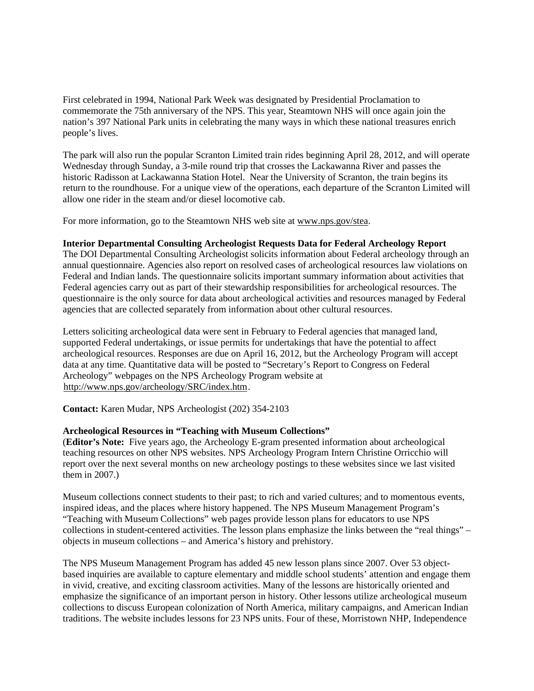First celebrated in 1994, National Park Week was designated by Presidential Proclamation to commemorate the 75th anniversary of the NPS. This year, Steamtown NHS will once again join the nation's 397 National Park units in celebrating the many ways in which these national treasures enrich people's lives.

The park will also run the popular Scranton Limited train rides beginning April 28, 2012, and will operate Wednesday through Sunday, a 3-mile round trip that crosses the Lackawanna River and passes the historic Radisson at Lackawanna Station Hotel. Near the University of Scranton, the train begins its return to the roundhouse. For a unique view of the operations, each departure of the Scranton Limited will allow one rider in the steam and/or diesel locomotive cab.

For more information, go to the Steamtown NHS web site at [www.nps.gov/stea.](http://www.nps.gov/stea)

## **Interior Departmental Consulting Archeologist Requests Data for Federal Archeology Report**

The DOI Departmental Consulting Archeologist solicits information about Federal archeology through an annual questionnaire. Agencies also report on resolved cases of archeological resources law violations on Federal and Indian lands. The questionnaire solicits important summary information about activities that Federal agencies carry out as part of their stewardship responsibilities for archeological resources. The questionnaire is the only source for data about archeological activities and resources managed by Federal agencies that are collected separately from information about other cultural resources.

Letters soliciting archeological data were sent in February to Federal agencies that managed land, supported Federal undertakings, or issue permits for undertakings that have the potential to affect archeological resources. Responses are due on April 16, 2012, but the Archeology Program will accept data at any time. Quantitative data will be posted to "Secretary's Report to Congress on Federal Archeology" webpages on the NPS Archeology Program website at [http://www.nps.gov/archeology/SRC/index.htm.](http://www.nps.gov/archeology/SRC/index.htm)

**Contact:** Karen Mudar, NPS Archeologist (202) 354-2103

## **Archeological Resources in "Teaching with Museum Collections"**

(**Editor's Note:** Five years ago, the Archeology E-gram presented information about archeological teaching resources on other NPS websites. NPS Archeology Program Intern Christine Orricchio will report over the next several months on new archeology postings to these websites since we last visited them in 2007.)

Museum collections connect students to their past; to rich and varied cultures; and to momentous events, inspired ideas, and the places where history happened. The NPS Museum Management Program's "Teaching with Museum Collections" web pages provide lesson plans for educators to use NPS collections in student-centered activities. The lesson plans emphasize the links between the "real things" – objects in museum collections – and America's history and prehistory.

The NPS Museum Management Program has added 45 new lesson plans since 2007. Over 53 objectbased inquiries are available to capture elementary and middle school students' attention and engage them in vivid, creative, and exciting classroom activities. Many of the lessons are historically oriented and emphasize the significance of an important person in history. Other lessons utilize archeological museum collections to discuss European colonization of North America, military campaigns, and American Indian traditions. The website includes lessons for 23 NPS units. Four of these, Morristown NHP, Independence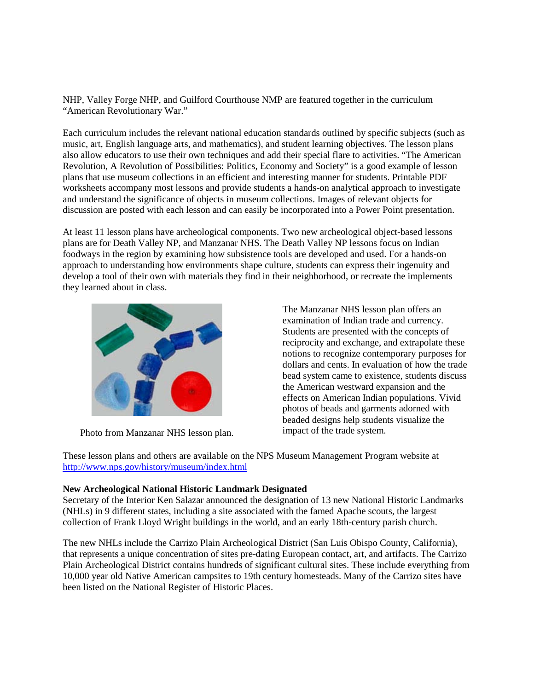NHP, Valley Forge NHP, and Guilford Courthouse NMP are featured together in the curriculum "American Revolutionary War."

Each curriculum includes the relevant national education standards outlined by specific subjects (such as music, art, English language arts, and mathematics), and student learning objectives. The lesson plans also allow educators to use their own techniques and add their special flare to activities. "The American Revolution, A Revolution of Possibilities: Politics, Economy and Society" is a good example of lesson plans that use museum collections in an efficient and interesting manner for students. Printable PDF worksheets accompany most lessons and provide students a hands-on analytical approach to investigate and understand the significance of objects in museum collections. Images of relevant objects for discussion are posted with each lesson and can easily be incorporated into a Power Point presentation.

At least 11 lesson plans have archeological components. Two new archeological object-based lessons plans are for Death Valley NP, and Manzanar NHS. The Death Valley NP lessons focus on Indian foodways in the region by examining how subsistence tools are developed and used. For a hands-on approach to understanding how environments shape culture, students can express their ingenuity and develop a tool of their own with materials they find in their neighborhood, or recreate the implements they learned about in class.



Photo from Manzanar NHS lesson plan.

The Manzanar NHS lesson plan offers an examination of Indian trade and currency. Students are presented with the concepts of reciprocity and exchange, and extrapolate these notions to recognize contemporary purposes for dollars and cents. In evaluation of how the trade bead system came to existence, students discuss the American westward expansion and the effects on American Indian populations. Vivid photos of beads and garments adorned with beaded designs help students visualize the impact of the trade system.

These lesson plans and others are available on the NPS Museum Management Program website at <http://www.nps.gov/history/museum/index.html>

#### **New Archeological National Historic Landmark Designated**

Secretary of the Interior Ken Salazar announced the designation of 13 new National Historic Landmarks (NHLs) in 9 different states, including a site associated with the famed Apache scouts, the largest collection of Frank Lloyd Wright buildings in the world, and an early 18th-century parish church.

The new NHLs include the Carrizo Plain Archeological District (San Luis Obispo County, California), that represents a unique concentration of sites pre-dating European contact, art, and artifacts. The Carrizo Plain Archeological District contains hundreds of significant cultural sites. These include everything from 10,000 year old Native American campsites to 19th century homesteads. Many of the Carrizo sites have been listed on the National Register of Historic Places.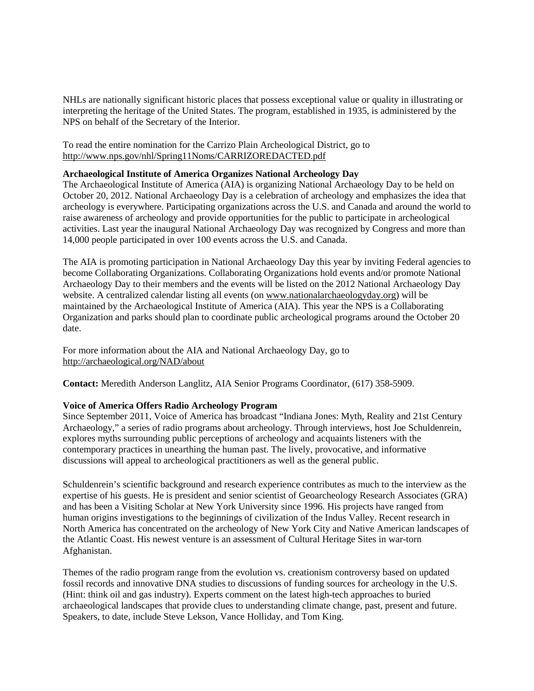NHLs are nationally significant historic places that possess exceptional value or quality in illustrating or interpreting the heritage of the United States. The program, established in 1935, is administered by the NPS on behalf of the Secretary of the Interior.

To read the entire nomination for the Carrizo Plain Archeological District, go to <http://www.nps.gov/nhl/Spring11Noms/CARRIZOREDACTED.pdf>

#### **Archaeological Institute of America Organizes National Archeology Day**

The Archaeological Institute of America (AIA) is organizing National Archaeology Day to be held on October 20, 2012. National Archaeology Day is a celebration of archeology and emphasizes the idea that archeology is everywhere. Participating organizations across the U.S. and Canada and around the world to raise awareness of archeology and provide opportunities for the public to participate in archeological activities. Last year the inaugural National Archaeology Day was recognized by Congress and more than 14,000 people participated in over 100 events across the U.S. and Canada.

The AIA is promoting participation in National Archaeology Day this year by inviting Federal agencies to become Collaborating Organizations. Collaborating Organizations hold events and/or promote National Archaeology Day to their members and the events will be listed on the 2012 National Archaeology Day website. A centralized calendar listing all events (on [www.nationalarchaeologyday.org\)](http://www.nationalarchaeologyday.org/) will be maintained by the Archaeological Institute of America (AIA). This year the NPS is a Collaborating Organization and parks should plan to coordinate public archeological programs around the October 20 date.

For more information about the AIA and National Archaeology Day, go to <http://archaeological.org/NAD/about>

**Contact:** Meredith Anderson Langlitz, AIA Senior Programs Coordinator, (617) 358-5909.

## **Voice of America Offers Radio Archeology Program**

Since September 2011, Voice of America has broadcast "Indiana Jones: Myth, Reality and 21st Century Archaeology," a series of radio programs about archeology. Through interviews, host Joe Schuldenrein, explores myths surrounding public perceptions of archeology and acquaints listeners with the contemporary practices in unearthing the human past. The lively, provocative, and informative discussions will appeal to archeological practitioners as well as the general public.

Schuldenrein's scientific background and research experience contributes as much to the interview as the expertise of his guests. He is president and senior scientist of Geoarcheology Research Associates (GRA) and has been a Visiting Scholar at New York University since 1996. His projects have ranged from human origins investigations to the beginnings of civilization of the Indus Valley. Recent research in North America has concentrated on the archeology of New York City and Native American landscapes of the Atlantic Coast. His newest venture is an assessment of Cultural Heritage Sites in war-torn Afghanistan.

Themes of the radio program range from the evolution vs. creationism controversy based on updated fossil records and innovative DNA studies to discussions of funding sources for archeology in the U.S. (Hint: think oil and gas industry). Experts comment on the latest high-tech approaches to buried archaeological landscapes that provide clues to understanding climate change, past, present and future. Speakers, to date, include Steve Lekson, Vance Holliday, and Tom King.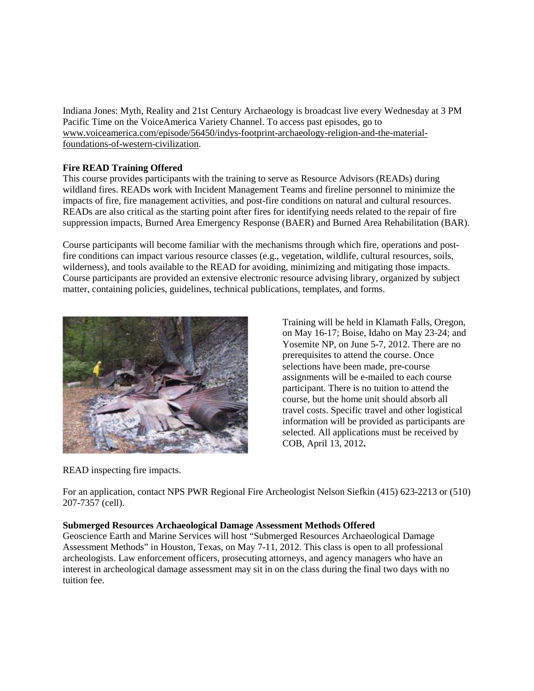Indiana Jones: Myth, Reality and 21st Century Archaeology is broadcast live every Wednesday at 3 PM Pacific Time on the VoiceAmerica Variety Channel. To access past episodes, go to [www.voiceamerica.com/episode/56450/indys-footprint-archaeology-religion-and-the-material](http://www.voiceamerica.com/episode/56450/indys-footprint-archaeology-religion-and-the-material-foundations-of-western-civilization)[foundations-of-western-civilization.](http://www.voiceamerica.com/episode/56450/indys-footprint-archaeology-religion-and-the-material-foundations-of-western-civilization)

# **Fire READ Training Offered**

This course provides participants with the training to serve as Resource Advisors (READs) during wildland fires. READs work with Incident Management Teams and fireline personnel to minimize the impacts of fire, fire management activities, and post-fire conditions on natural and cultural resources. READs are also critical as the starting point after fires for identifying needs related to the repair of fire suppression impacts, Burned Area Emergency Response (BAER) and Burned Area Rehabilitation (BAR).

Course participants will become familiar with the mechanisms through which fire, operations and postfire conditions can impact various resource classes (e.g., vegetation, wildlife, cultural resources, soils, wilderness), and tools available to the READ for avoiding, minimizing and mitigating those impacts. Course participants are provided an extensive electronic resource advising library, organized by subject matter, containing policies, guidelines, technical publications, templates, and forms.



Training will be held in Klamath Falls, Oregon, on May 16-17; Boise, Idaho on May 23-24; and Yosemite NP, on June 5-7, 2012. There are no prerequisites to attend the course. Once selections have been made, pre-course assignments will be e-mailed to each course participant. There is no tuition to attend the course, but the home unit should absorb all travel costs. Specific travel and other logistical information will be provided as participants are selected. All applications must be received by COB, April 13, 2012**.**

READ inspecting fire impacts.

For an application, contact NPS PWR Regional Fire Archeologist Nelson Siefkin (415) 623-2213 or (510) 207-7357 (cell).

# **Submerged Resources Archaeological Damage Assessment Methods Offered**

Geoscience Earth and Marine Services will host "Submerged Resources Archaeological Damage Assessment Methods" in Houston, Texas, on May 7-11, 2012. This class is open to all professional archeologists. Law enforcement officers, prosecuting attorneys, and agency managers who have an interest in archeological damage assessment may sit in on the class during the final two days with no tuition fee.